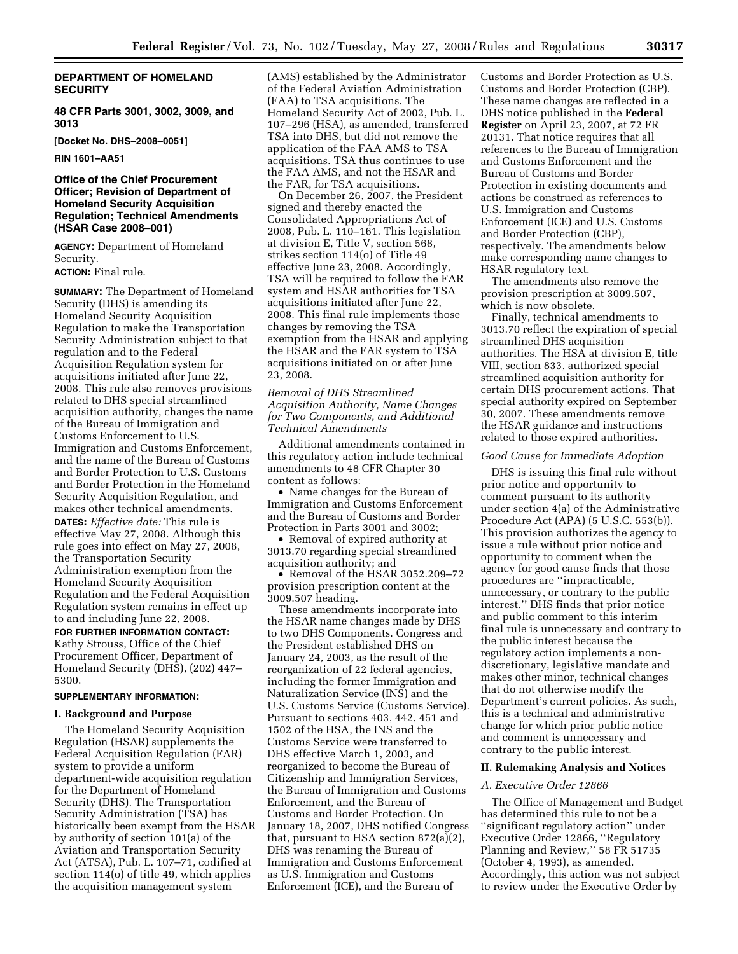# **DEPARTMENT OF HOMELAND SECURITY**

**48 CFR Parts 3001, 3002, 3009, and 3013** 

**[Docket No. DHS–2008–0051]** 

**RIN 1601–AA51** 

## **Office of the Chief Procurement Officer; Revision of Department of Homeland Security Acquisition Regulation; Technical Amendments (HSAR Case 2008–001)**

**AGENCY:** Department of Homeland Security.

## **ACTION:** Final rule.

**SUMMARY:** The Department of Homeland Security (DHS) is amending its Homeland Security Acquisition Regulation to make the Transportation Security Administration subject to that regulation and to the Federal Acquisition Regulation system for acquisitions initiated after June 22, 2008. This rule also removes provisions related to DHS special streamlined acquisition authority, changes the name of the Bureau of Immigration and Customs Enforcement to U.S. Immigration and Customs Enforcement, and the name of the Bureau of Customs and Border Protection to U.S. Customs and Border Protection in the Homeland Security Acquisition Regulation, and makes other technical amendments.

**DATES:** *Effective date:* This rule is effective May 27, 2008. Although this rule goes into effect on May 27, 2008, the Transportation Security Administration exemption from the Homeland Security Acquisition Regulation and the Federal Acquisition Regulation system remains in effect up to and including June 22, 2008.

**FOR FURTHER INFORMATION CONTACT:**  Kathy Strouss, Office of the Chief Procurement Officer, Department of Homeland Security (DHS), (202) 447– 5300.

### **SUPPLEMENTARY INFORMATION:**

### **I. Background and Purpose**

The Homeland Security Acquisition Regulation (HSAR) supplements the Federal Acquisition Regulation (FAR) system to provide a uniform department-wide acquisition regulation for the Department of Homeland Security (DHS). The Transportation Security Administration (TSA) has historically been exempt from the HSAR by authority of section 101(a) of the Aviation and Transportation Security Act (ATSA), Pub. L. 107–71, codified at section 114(o) of title 49, which applies the acquisition management system

(AMS) established by the Administrator of the Federal Aviation Administration (FAA) to TSA acquisitions. The Homeland Security Act of 2002, Pub. L. 107–296 (HSA), as amended, transferred TSA into DHS, but did not remove the application of the FAA AMS to TSA acquisitions. TSA thus continues to use the FAA AMS, and not the HSAR and the FAR, for TSA acquisitions.

On December 26, 2007, the President signed and thereby enacted the Consolidated Appropriations Act of 2008, Pub. L. 110–161. This legislation at division E, Title V, section 568, strikes section 114(o) of Title 49 effective June 23, 2008. Accordingly, TSA will be required to follow the FAR system and HSAR authorities for TSA acquisitions initiated after June 22, 2008. This final rule implements those changes by removing the TSA exemption from the HSAR and applying the HSAR and the FAR system to TSA acquisitions initiated on or after June 23, 2008.

*Removal of DHS Streamlined Acquisition Authority, Name Changes for Two Components, and Additional Technical Amendments* 

Additional amendments contained in this regulatory action include technical amendments to 48 CFR Chapter 30 content as follows:

• Name changes for the Bureau of Immigration and Customs Enforcement and the Bureau of Customs and Border Protection in Parts 3001 and 3002;

• Removal of expired authority at 3013.70 regarding special streamlined acquisition authority; and

• Removal of the HSAR 3052.209–72 provision prescription content at the 3009.507 heading.

These amendments incorporate into the HSAR name changes made by DHS to two DHS Components. Congress and the President established DHS on January 24, 2003, as the result of the reorganization of 22 federal agencies, including the former Immigration and Naturalization Service (INS) and the U.S. Customs Service (Customs Service). Pursuant to sections 403, 442, 451 and 1502 of the HSA, the INS and the Customs Service were transferred to DHS effective March 1, 2003, and reorganized to become the Bureau of Citizenship and Immigration Services, the Bureau of Immigration and Customs Enforcement, and the Bureau of Customs and Border Protection. On January 18, 2007, DHS notified Congress that, pursuant to HSA section 872(a)(2), DHS was renaming the Bureau of Immigration and Customs Enforcement as U.S. Immigration and Customs Enforcement (ICE), and the Bureau of

Customs and Border Protection as U.S. Customs and Border Protection (CBP). These name changes are reflected in a DHS notice published in the **Federal Register** on April 23, 2007, at 72 FR 20131. That notice requires that all references to the Bureau of Immigration and Customs Enforcement and the Bureau of Customs and Border Protection in existing documents and actions be construed as references to U.S. Immigration and Customs Enforcement (ICE) and U.S. Customs and Border Protection (CBP), respectively. The amendments below make corresponding name changes to HSAR regulatory text.

The amendments also remove the provision prescription at 3009.507, which is now obsolete.

Finally, technical amendments to 3013.70 reflect the expiration of special streamlined DHS acquisition authorities. The HSA at division E, title VIII, section 833, authorized special streamlined acquisition authority for certain DHS procurement actions. That special authority expired on September 30, 2007. These amendments remove the HSAR guidance and instructions related to those expired authorities.

#### *Good Cause for Immediate Adoption*

DHS is issuing this final rule without prior notice and opportunity to comment pursuant to its authority under section 4(a) of the Administrative Procedure Act (APA) (5 U.S.C. 553(b)). This provision authorizes the agency to issue a rule without prior notice and opportunity to comment when the agency for good cause finds that those procedures are ''impracticable, unnecessary, or contrary to the public interest.'' DHS finds that prior notice and public comment to this interim final rule is unnecessary and contrary to the public interest because the regulatory action implements a nondiscretionary, legislative mandate and makes other minor, technical changes that do not otherwise modify the Department's current policies. As such, this is a technical and administrative change for which prior public notice and comment is unnecessary and contrary to the public interest.

### **II. Rulemaking Analysis and Notices**

#### *A. Executive Order 12866*

The Office of Management and Budget has determined this rule to not be a ''significant regulatory action'' under Executive Order 12866, ''Regulatory Planning and Review,'' 58 FR 51735 (October 4, 1993), as amended. Accordingly, this action was not subject to review under the Executive Order by